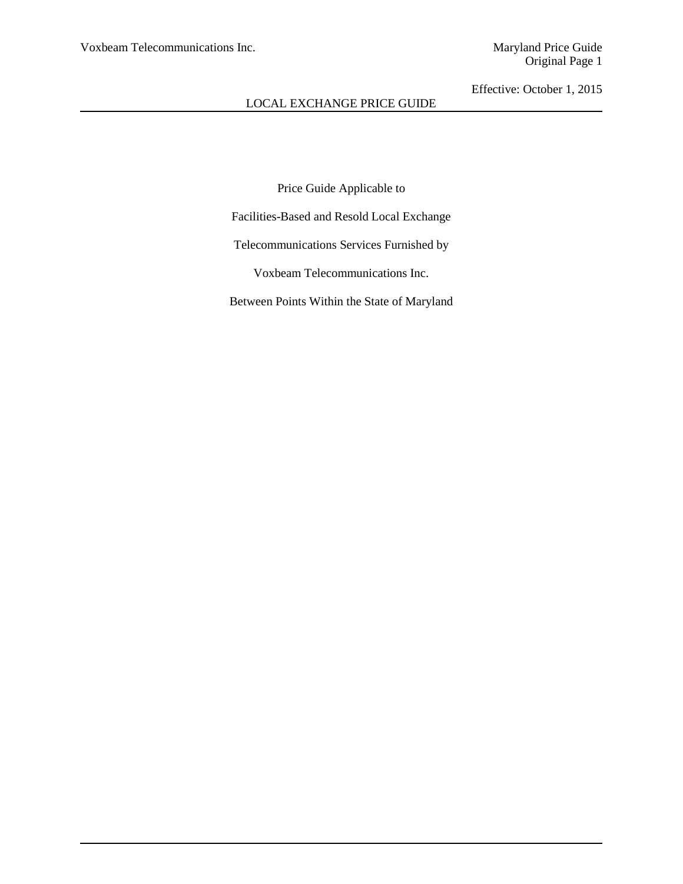Price Guide Applicable to

Facilities-Based and Resold Local Exchange

Telecommunications Services Furnished by

Voxbeam Telecommunications Inc.

Between Points Within the State of Maryland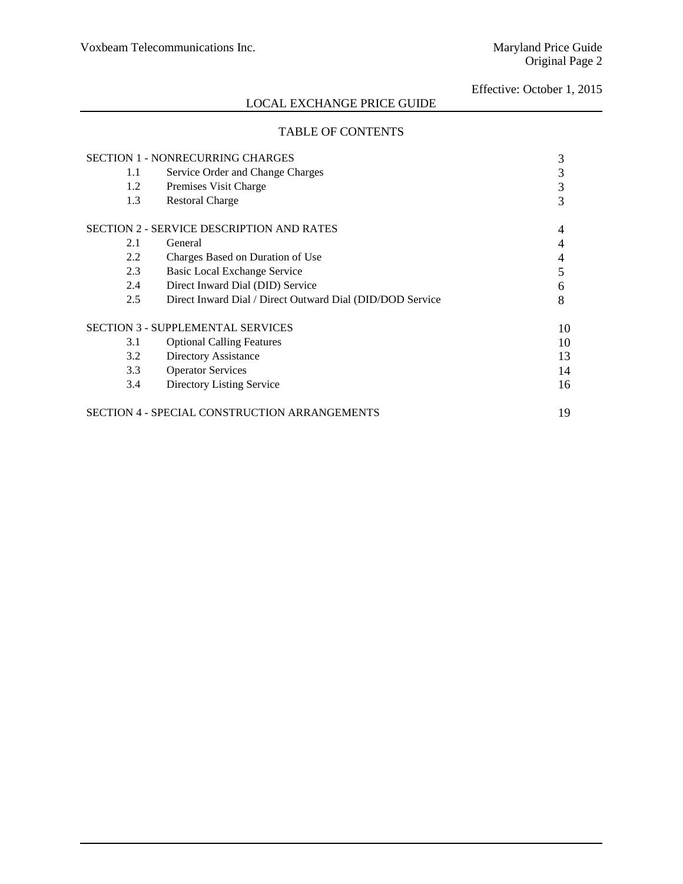# LOCAL EXCHANGE PRICE GUIDE

# TABLE OF CONTENTS

|     | <b>SECTION 1 - NONRECURRING CHARGES</b>                   | 3  |
|-----|-----------------------------------------------------------|----|
| 1.1 | Service Order and Change Charges                          | 3  |
| 1.2 | Premises Visit Charge                                     | 3  |
| 1.3 | <b>Restoral Charge</b>                                    | 3  |
|     | <b>SECTION 2 - SERVICE DESCRIPTION AND RATES</b>          |    |
| 2.1 | General                                                   | 4  |
| 2.2 | Charges Based on Duration of Use                          | 4  |
| 2.3 | <b>Basic Local Exchange Service</b>                       | 5  |
| 2.4 | Direct Inward Dial (DID) Service                          | 6  |
| 2.5 | Direct Inward Dial / Direct Outward Dial (DID/DOD Service | 8  |
|     | <b>SECTION 3 - SUPPLEMENTAL SERVICES</b>                  | 10 |
| 3.1 | <b>Optional Calling Features</b>                          | 10 |
| 3.2 | Directory Assistance                                      | 13 |
| 3.3 | <b>Operator Services</b>                                  | 14 |
| 3.4 | Directory Listing Service                                 | 16 |
|     | <b>SECTION 4 - SPECIAL CONSTRUCTION ARRANGEMENTS</b>      | 19 |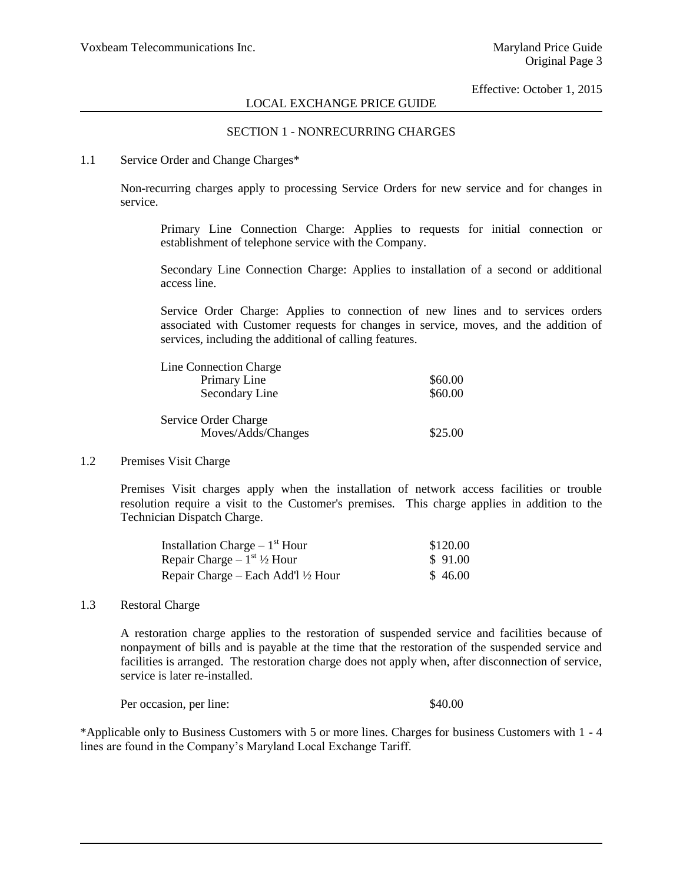# SECTION 1 - NONRECURRING CHARGES

### 1.1 Service Order and Change Charges\*

Non-recurring charges apply to processing Service Orders for new service and for changes in service.

Primary Line Connection Charge: Applies to requests for initial connection or establishment of telephone service with the Company.

Secondary Line Connection Charge: Applies to installation of a second or additional access line.

Service Order Charge: Applies to connection of new lines and to services orders associated with Customer requests for changes in service, moves, and the addition of services, including the additional of calling features.

| Line Connection Charge |         |
|------------------------|---------|
| Primary Line           | \$60.00 |
| Secondary Line         | \$60.00 |
| Service Order Charge   |         |
| Moves/Adds/Changes     | \$25.00 |

#### 1.2 Premises Visit Charge

Premises Visit charges apply when the installation of network access facilities or trouble resolution require a visit to the Customer's premises. This charge applies in addition to the Technician Dispatch Charge.

| Installation Charge $-1st$ Hour               | \$120.00 |
|-----------------------------------------------|----------|
| Repair Charge $-1^{st}$ 1/2 Hour              | \$91.00  |
| Repair Charge – Each Add'l $\frac{1}{2}$ Hour | \$46.00  |

#### 1.3 Restoral Charge

A restoration charge applies to the restoration of suspended service and facilities because of nonpayment of bills and is payable at the time that the restoration of the suspended service and facilities is arranged. The restoration charge does not apply when, after disconnection of service, service is later re-installed.

Per occasion, per line:  $$40.00$ 

\*Applicable only to Business Customers with 5 or more lines. Charges for business Customers with 1 - 4 lines are found in the Company's Maryland Local Exchange Tariff.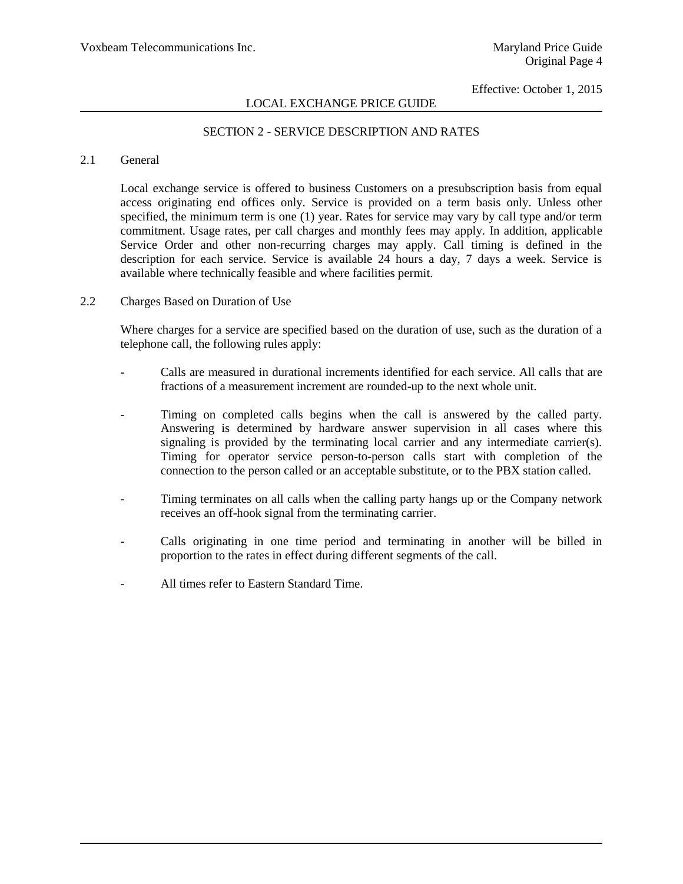# LOCAL EXCHANGE PRICE GUIDE

# SECTION 2 - SERVICE DESCRIPTION AND RATES

### 2.1 General

Local exchange service is offered to business Customers on a presubscription basis from equal access originating end offices only. Service is provided on a term basis only. Unless other specified, the minimum term is one (1) year. Rates for service may vary by call type and/or term commitment. Usage rates, per call charges and monthly fees may apply. In addition, applicable Service Order and other non-recurring charges may apply. Call timing is defined in the description for each service. Service is available 24 hours a day, 7 days a week. Service is available where technically feasible and where facilities permit.

2.2 Charges Based on Duration of Use

Where charges for a service are specified based on the duration of use, such as the duration of a telephone call, the following rules apply:

- Calls are measured in durational increments identified for each service. All calls that are fractions of a measurement increment are rounded-up to the next whole unit.
- Timing on completed calls begins when the call is answered by the called party. Answering is determined by hardware answer supervision in all cases where this signaling is provided by the terminating local carrier and any intermediate carrier(s). Timing for operator service person-to-person calls start with completion of the connection to the person called or an acceptable substitute, or to the PBX station called.
- Timing terminates on all calls when the calling party hangs up or the Company network receives an off-hook signal from the terminating carrier.
- Calls originating in one time period and terminating in another will be billed in proportion to the rates in effect during different segments of the call.
- All times refer to Eastern Standard Time.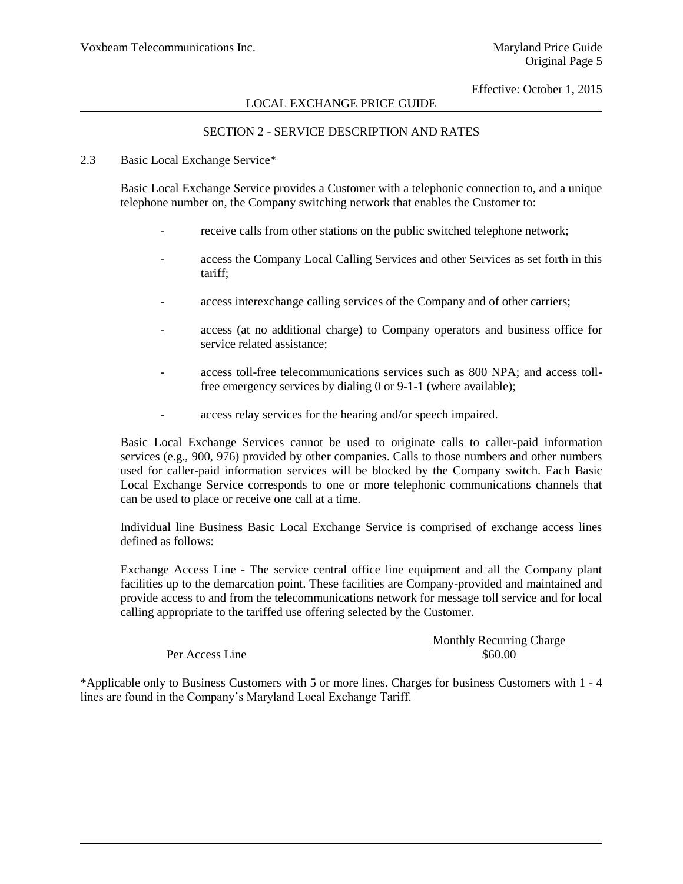# SECTION 2 - SERVICE DESCRIPTION AND RATES

### 2.3 Basic Local Exchange Service\*

Basic Local Exchange Service provides a Customer with a telephonic connection to, and a unique telephone number on, the Company switching network that enables the Customer to:

- receive calls from other stations on the public switched telephone network;
- access the Company Local Calling Services and other Services as set forth in this tariff;
- access interexchange calling services of the Company and of other carriers;
- access (at no additional charge) to Company operators and business office for service related assistance;
- access toll-free telecommunications services such as 800 NPA; and access tollfree emergency services by dialing 0 or 9-1-1 (where available);
- access relay services for the hearing and/or speech impaired.

Basic Local Exchange Services cannot be used to originate calls to caller-paid information services (e.g., 900, 976) provided by other companies. Calls to those numbers and other numbers used for caller-paid information services will be blocked by the Company switch. Each Basic Local Exchange Service corresponds to one or more telephonic communications channels that can be used to place or receive one call at a time.

Individual line Business Basic Local Exchange Service is comprised of exchange access lines defined as follows:

Exchange Access Line - The service central office line equipment and all the Company plant facilities up to the demarcation point. These facilities are Company-provided and maintained and provide access to and from the telecommunications network for message toll service and for local calling appropriate to the tariffed use offering selected by the Customer.

### Monthly Recurring Charge Per Access Line  $\$60.00$

\*Applicable only to Business Customers with 5 or more lines. Charges for business Customers with 1 - 4 lines are found in the Company's Maryland Local Exchange Tariff.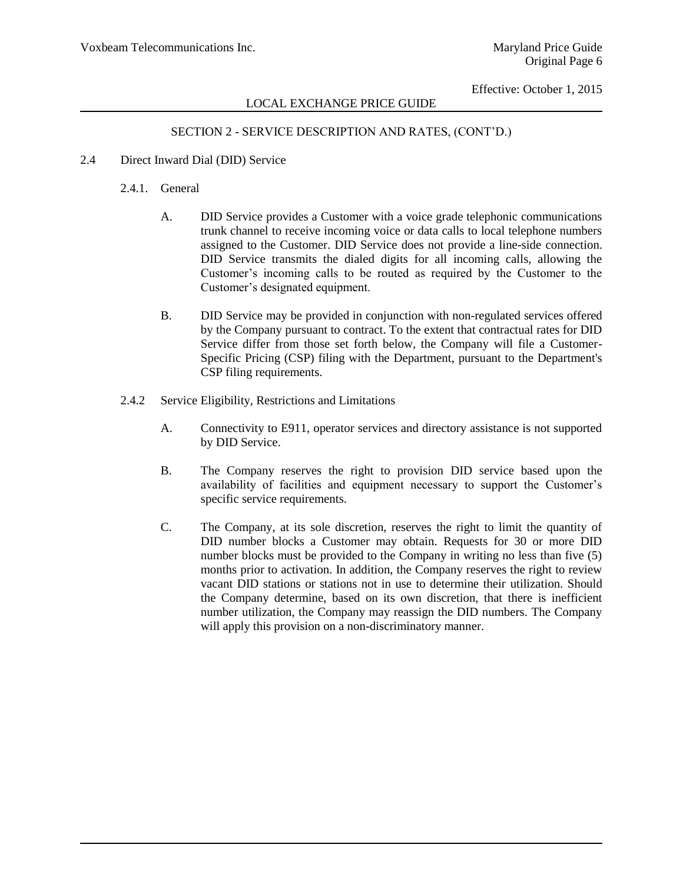### SECTION 2 - SERVICE DESCRIPTION AND RATES, (CONT'D.)

2.4 Direct Inward Dial (DID) Service

### 2.4.1. General

- A. DID Service provides a Customer with a voice grade telephonic communications trunk channel to receive incoming voice or data calls to local telephone numbers assigned to the Customer. DID Service does not provide a line-side connection. DID Service transmits the dialed digits for all incoming calls, allowing the Customer's incoming calls to be routed as required by the Customer to the Customer's designated equipment.
- B. DID Service may be provided in conjunction with non-regulated services offered by the Company pursuant to contract. To the extent that contractual rates for DID Service differ from those set forth below, the Company will file a Customer-Specific Pricing (CSP) filing with the Department, pursuant to the Department's CSP filing requirements.
- 2.4.2 Service Eligibility, Restrictions and Limitations
	- A. Connectivity to E911, operator services and directory assistance is not supported by DID Service.
	- B. The Company reserves the right to provision DID service based upon the availability of facilities and equipment necessary to support the Customer's specific service requirements.
	- C. The Company, at its sole discretion, reserves the right to limit the quantity of DID number blocks a Customer may obtain. Requests for 30 or more DID number blocks must be provided to the Company in writing no less than five (5) months prior to activation. In addition, the Company reserves the right to review vacant DID stations or stations not in use to determine their utilization. Should the Company determine, based on its own discretion, that there is inefficient number utilization, the Company may reassign the DID numbers. The Company will apply this provision on a non-discriminatory manner.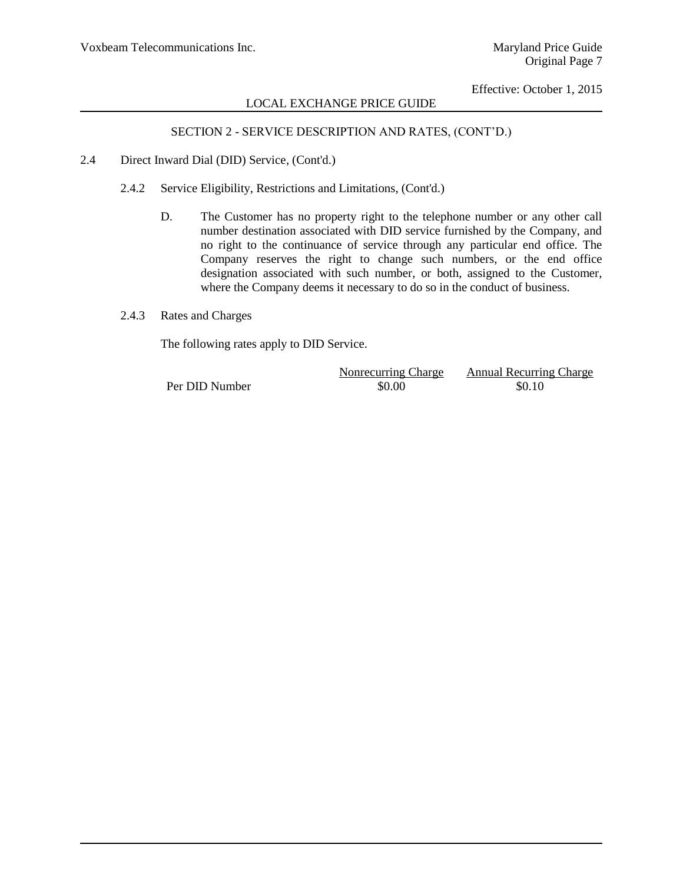# SECTION 2 - SERVICE DESCRIPTION AND RATES, (CONT'D.)

- 2.4 Direct Inward Dial (DID) Service, (Cont'd.)
	- 2.4.2 Service Eligibility, Restrictions and Limitations, (Cont'd.)
		- D. The Customer has no property right to the telephone number or any other call number destination associated with DID service furnished by the Company, and no right to the continuance of service through any particular end office. The Company reserves the right to change such numbers, or the end office designation associated with such number, or both, assigned to the Customer, where the Company deems it necessary to do so in the conduct of business.
	- 2.4.3 Rates and Charges

The following rates apply to DID Service.

|                | Nonrecurring Charge | <b>Annual Recurring Charge</b> |
|----------------|---------------------|--------------------------------|
| Per DID Number | \$0.00              | \$0.10                         |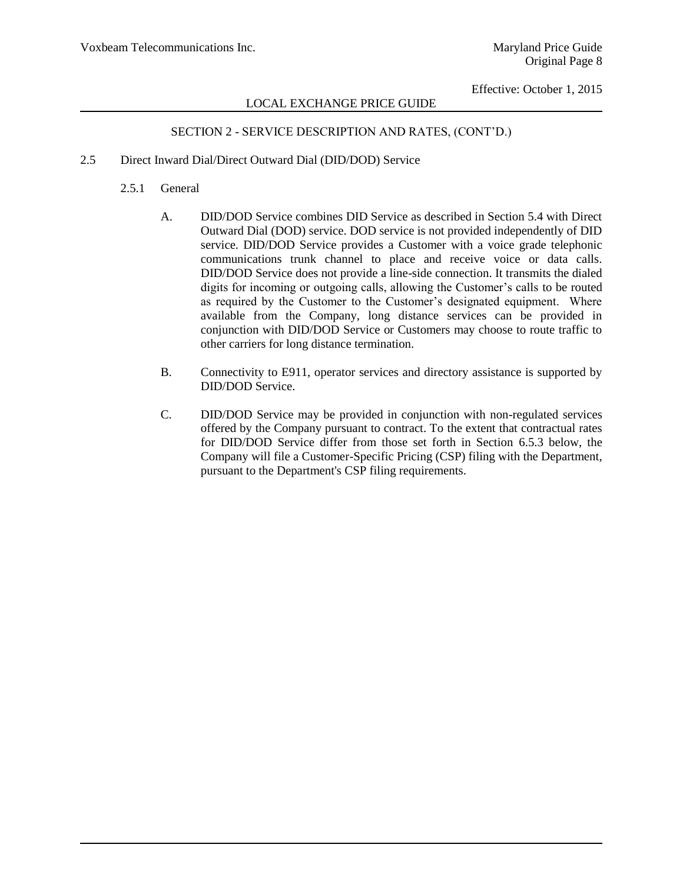# SECTION 2 - SERVICE DESCRIPTION AND RATES, (CONT'D.)

- 2.5 Direct Inward Dial/Direct Outward Dial (DID/DOD) Service
	- 2.5.1 General
		- A. DID/DOD Service combines DID Service as described in Section 5.4 with Direct Outward Dial (DOD) service. DOD service is not provided independently of DID service. DID/DOD Service provides a Customer with a voice grade telephonic communications trunk channel to place and receive voice or data calls. DID/DOD Service does not provide a line-side connection. It transmits the dialed digits for incoming or outgoing calls, allowing the Customer's calls to be routed as required by the Customer to the Customer's designated equipment. Where available from the Company, long distance services can be provided in conjunction with DID/DOD Service or Customers may choose to route traffic to other carriers for long distance termination.
		- B. Connectivity to E911, operator services and directory assistance is supported by DID/DOD Service.
		- C. DID/DOD Service may be provided in conjunction with non-regulated services offered by the Company pursuant to contract. To the extent that contractual rates for DID/DOD Service differ from those set forth in Section 6.5.3 below, the Company will file a Customer-Specific Pricing (CSP) filing with the Department, pursuant to the Department's CSP filing requirements.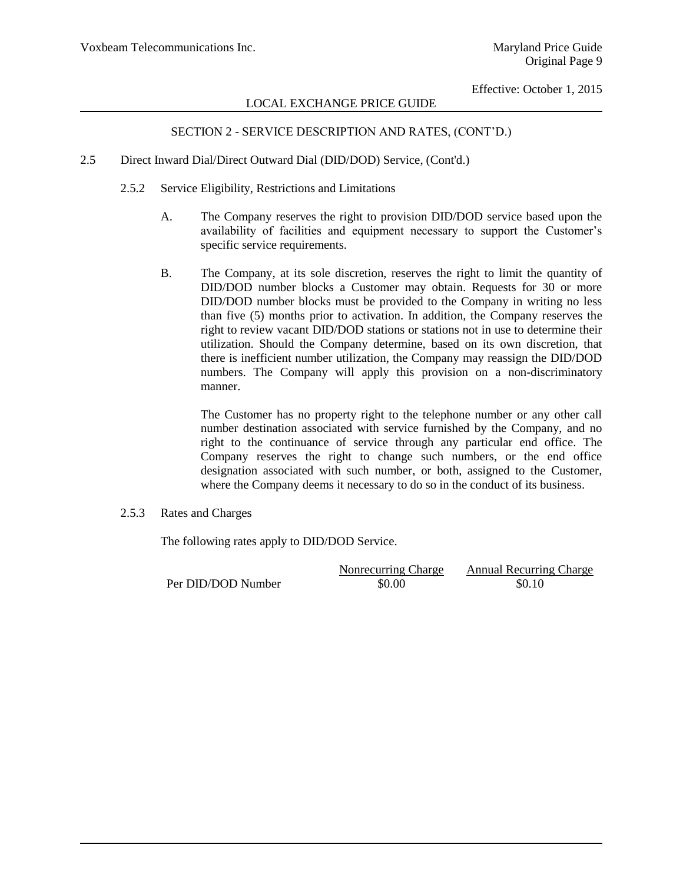# SECTION 2 - SERVICE DESCRIPTION AND RATES, (CONT'D.)

- 2.5 Direct Inward Dial/Direct Outward Dial (DID/DOD) Service, (Cont'd.)
	- 2.5.2 Service Eligibility, Restrictions and Limitations
		- A. The Company reserves the right to provision DID/DOD service based upon the availability of facilities and equipment necessary to support the Customer's specific service requirements.
		- B. The Company, at its sole discretion, reserves the right to limit the quantity of DID/DOD number blocks a Customer may obtain. Requests for 30 or more DID/DOD number blocks must be provided to the Company in writing no less than five (5) months prior to activation. In addition, the Company reserves the right to review vacant DID/DOD stations or stations not in use to determine their utilization. Should the Company determine, based on its own discretion, that there is inefficient number utilization, the Company may reassign the DID/DOD numbers. The Company will apply this provision on a non-discriminatory manner.

The Customer has no property right to the telephone number or any other call number destination associated with service furnished by the Company, and no right to the continuance of service through any particular end office. The Company reserves the right to change such numbers, or the end office designation associated with such number, or both, assigned to the Customer, where the Company deems it necessary to do so in the conduct of its business.

2.5.3 Rates and Charges

The following rates apply to DID/DOD Service.

|                    | Nonrecurring Charge | <b>Annual Recurring Charge</b> |
|--------------------|---------------------|--------------------------------|
| Per DID/DOD Number | \$0.00              | \$0.10                         |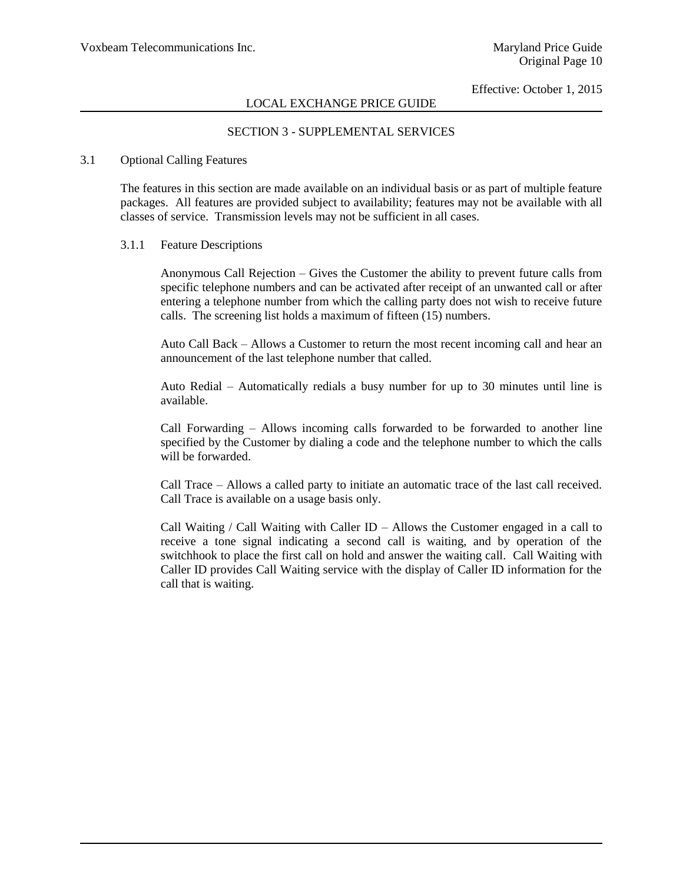### SECTION 3 - SUPPLEMENTAL SERVICES

### 3.1 Optional Calling Features

The features in this section are made available on an individual basis or as part of multiple feature packages. All features are provided subject to availability; features may not be available with all classes of service. Transmission levels may not be sufficient in all cases.

#### 3.1.1 Feature Descriptions

Anonymous Call Rejection – Gives the Customer the ability to prevent future calls from specific telephone numbers and can be activated after receipt of an unwanted call or after entering a telephone number from which the calling party does not wish to receive future calls. The screening list holds a maximum of fifteen (15) numbers.

Auto Call Back – Allows a Customer to return the most recent incoming call and hear an announcement of the last telephone number that called.

Auto Redial – Automatically redials a busy number for up to 30 minutes until line is available.

Call Forwarding – Allows incoming calls forwarded to be forwarded to another line specified by the Customer by dialing a code and the telephone number to which the calls will be forwarded.

Call Trace – Allows a called party to initiate an automatic trace of the last call received. Call Trace is available on a usage basis only.

Call Waiting / Call Waiting with Caller ID – Allows the Customer engaged in a call to receive a tone signal indicating a second call is waiting, and by operation of the switchhook to place the first call on hold and answer the waiting call. Call Waiting with Caller ID provides Call Waiting service with the display of Caller ID information for the call that is waiting.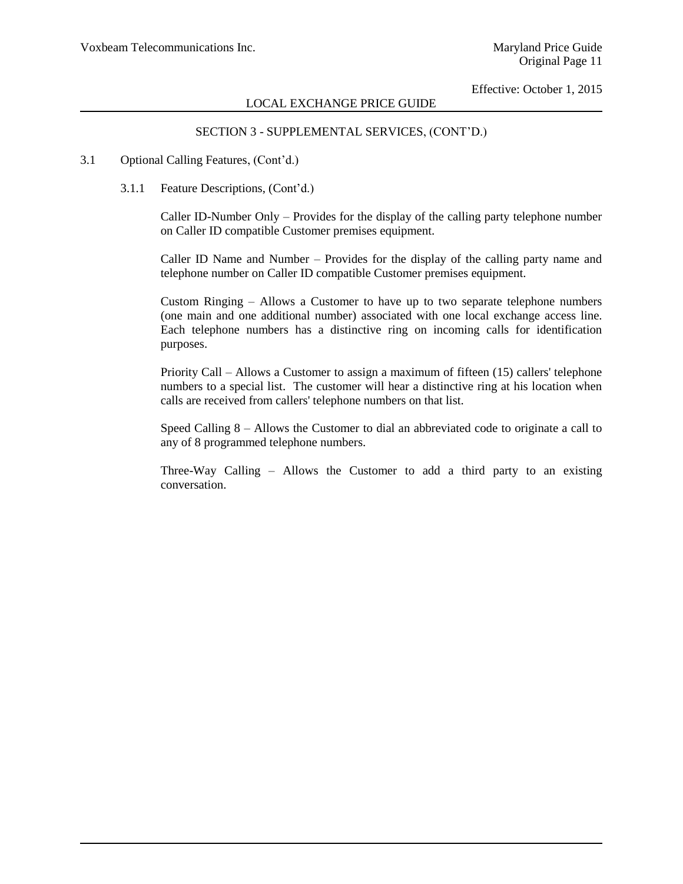### SECTION 3 - SUPPLEMENTAL SERVICES, (CONT'D.)

### 3.1 Optional Calling Features, (Cont'd.)

3.1.1 Feature Descriptions, (Cont'd.)

Caller ID-Number Only – Provides for the display of the calling party telephone number on Caller ID compatible Customer premises equipment.

Caller ID Name and Number – Provides for the display of the calling party name and telephone number on Caller ID compatible Customer premises equipment.

Custom Ringing – Allows a Customer to have up to two separate telephone numbers (one main and one additional number) associated with one local exchange access line. Each telephone numbers has a distinctive ring on incoming calls for identification purposes.

Priority Call – Allows a Customer to assign a maximum of fifteen (15) callers' telephone numbers to a special list. The customer will hear a distinctive ring at his location when calls are received from callers' telephone numbers on that list.

Speed Calling 8 – Allows the Customer to dial an abbreviated code to originate a call to any of 8 programmed telephone numbers.

Three-Way Calling – Allows the Customer to add a third party to an existing conversation.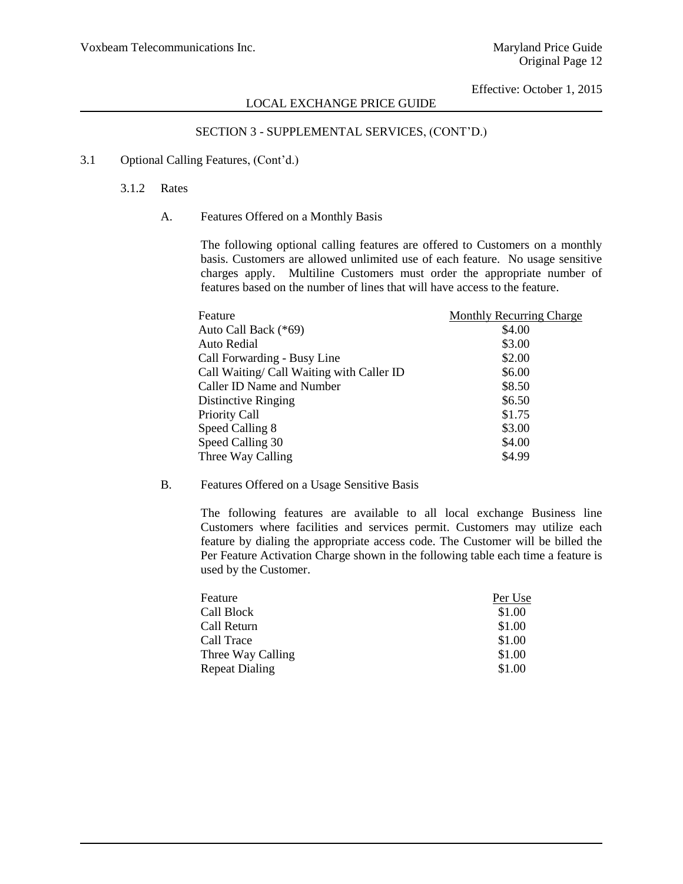### SECTION 3 - SUPPLEMENTAL SERVICES, (CONT'D.)

### 3.1 Optional Calling Features, (Cont'd.)

#### 3.1.2 Rates

A. Features Offered on a Monthly Basis

The following optional calling features are offered to Customers on a monthly basis. Customers are allowed unlimited use of each feature. No usage sensitive charges apply. Multiline Customers must order the appropriate number of features based on the number of lines that will have access to the feature.

| Feature                                   | <b>Monthly Recurring Charge</b> |
|-------------------------------------------|---------------------------------|
| Auto Call Back (*69)                      | \$4.00                          |
| Auto Redial                               | \$3.00                          |
| Call Forwarding - Busy Line               | \$2.00                          |
| Call Waiting/ Call Waiting with Caller ID | \$6.00                          |
| Caller ID Name and Number                 | \$8.50                          |
| Distinctive Ringing                       | \$6.50                          |
| Priority Call                             | \$1.75                          |
| Speed Calling 8                           | \$3.00                          |
| Speed Calling 30                          | \$4.00                          |
| Three Way Calling                         | \$4.99                          |

### B. Features Offered on a Usage Sensitive Basis

The following features are available to all local exchange Business line Customers where facilities and services permit. Customers may utilize each feature by dialing the appropriate access code. The Customer will be billed the Per Feature Activation Charge shown in the following table each time a feature is used by the Customer.

| Feature           | Per Use |
|-------------------|---------|
| Call Block        | \$1.00  |
| Call Return       | \$1.00  |
| Call Trace        | \$1.00  |
| Three Way Calling | \$1.00  |
| Repeat Dialing    | \$1.00  |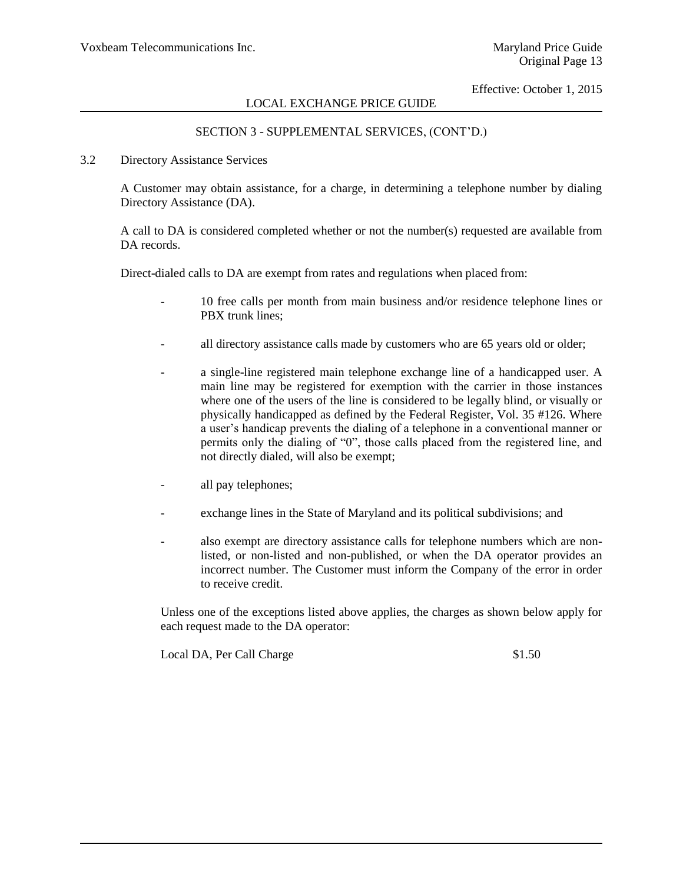# SECTION 3 - SUPPLEMENTAL SERVICES, (CONT'D.)

### 3.2 Directory Assistance Services

A Customer may obtain assistance, for a charge, in determining a telephone number by dialing Directory Assistance (DA).

A call to DA is considered completed whether or not the number(s) requested are available from DA records.

Direct-dialed calls to DA are exempt from rates and regulations when placed from:

- 10 free calls per month from main business and/or residence telephone lines or PBX trunk lines;
- all directory assistance calls made by customers who are 65 years old or older;
- a single-line registered main telephone exchange line of a handicapped user. A main line may be registered for exemption with the carrier in those instances where one of the users of the line is considered to be legally blind, or visually or physically handicapped as defined by the Federal Register, Vol. 35 #126. Where a user's handicap prevents the dialing of a telephone in a conventional manner or permits only the dialing of "0", those calls placed from the registered line, and not directly dialed, will also be exempt;
- all pay telephones;
- exchange lines in the State of Maryland and its political subdivisions; and
- also exempt are directory assistance calls for telephone numbers which are nonlisted, or non-listed and non-published, or when the DA operator provides an incorrect number. The Customer must inform the Company of the error in order to receive credit.

Unless one of the exceptions listed above applies, the charges as shown below apply for each request made to the DA operator:

Local DA, Per Call Charge \$1.50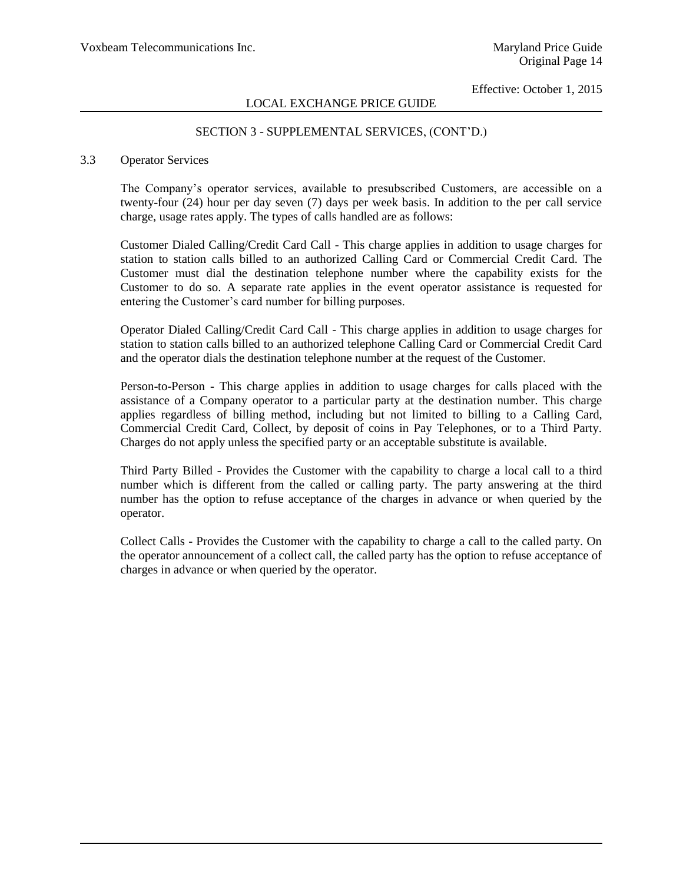# LOCAL EXCHANGE PRICE GUIDE

### SECTION 3 - SUPPLEMENTAL SERVICES, (CONT'D.)

### 3.3 Operator Services

The Company's operator services, available to presubscribed Customers, are accessible on a twenty-four (24) hour per day seven (7) days per week basis. In addition to the per call service charge, usage rates apply. The types of calls handled are as follows:

Customer Dialed Calling/Credit Card Call - This charge applies in addition to usage charges for station to station calls billed to an authorized Calling Card or Commercial Credit Card. The Customer must dial the destination telephone number where the capability exists for the Customer to do so. A separate rate applies in the event operator assistance is requested for entering the Customer's card number for billing purposes.

Operator Dialed Calling/Credit Card Call - This charge applies in addition to usage charges for station to station calls billed to an authorized telephone Calling Card or Commercial Credit Card and the operator dials the destination telephone number at the request of the Customer.

Person-to-Person - This charge applies in addition to usage charges for calls placed with the assistance of a Company operator to a particular party at the destination number. This charge applies regardless of billing method, including but not limited to billing to a Calling Card, Commercial Credit Card, Collect, by deposit of coins in Pay Telephones, or to a Third Party. Charges do not apply unless the specified party or an acceptable substitute is available.

Third Party Billed - Provides the Customer with the capability to charge a local call to a third number which is different from the called or calling party. The party answering at the third number has the option to refuse acceptance of the charges in advance or when queried by the operator.

Collect Calls - Provides the Customer with the capability to charge a call to the called party. On the operator announcement of a collect call, the called party has the option to refuse acceptance of charges in advance or when queried by the operator.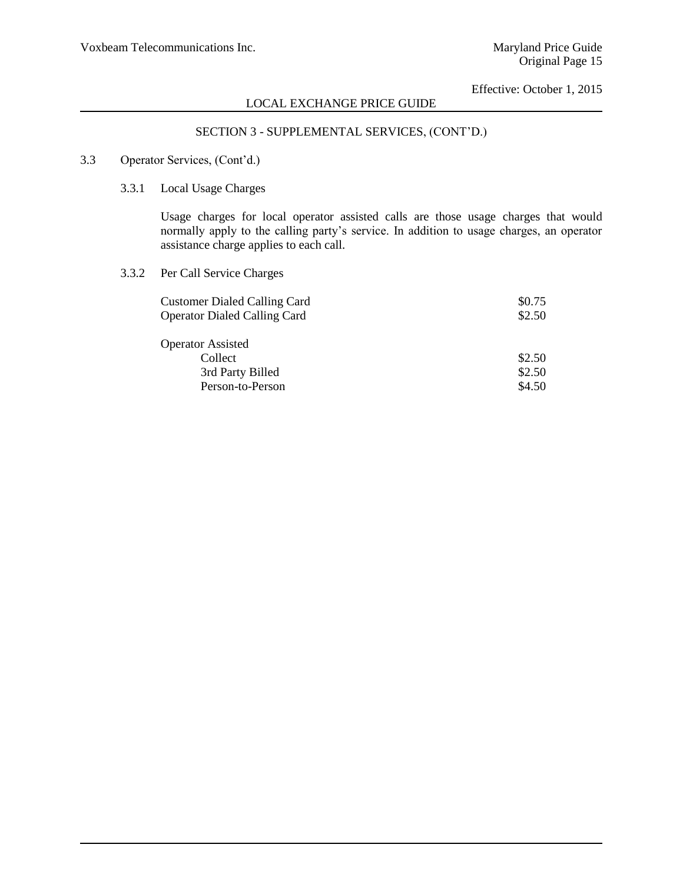# SECTION 3 - SUPPLEMENTAL SERVICES, (CONT'D.)

### 3.3 Operator Services, (Cont'd.)

3.3.1 Local Usage Charges

Usage charges for local operator assisted calls are those usage charges that would normally apply to the calling party's service. In addition to usage charges, an operator assistance charge applies to each call.

3.3.2 Per Call Service Charges

| <b>Customer Dialed Calling Card</b> | \$0.75 |
|-------------------------------------|--------|
| <b>Operator Dialed Calling Card</b> | \$2.50 |
| <b>Operator Assisted</b>            |        |
| Collect                             | \$2.50 |
| 3rd Party Billed                    | \$2.50 |
| Person-to-Person                    | \$4.50 |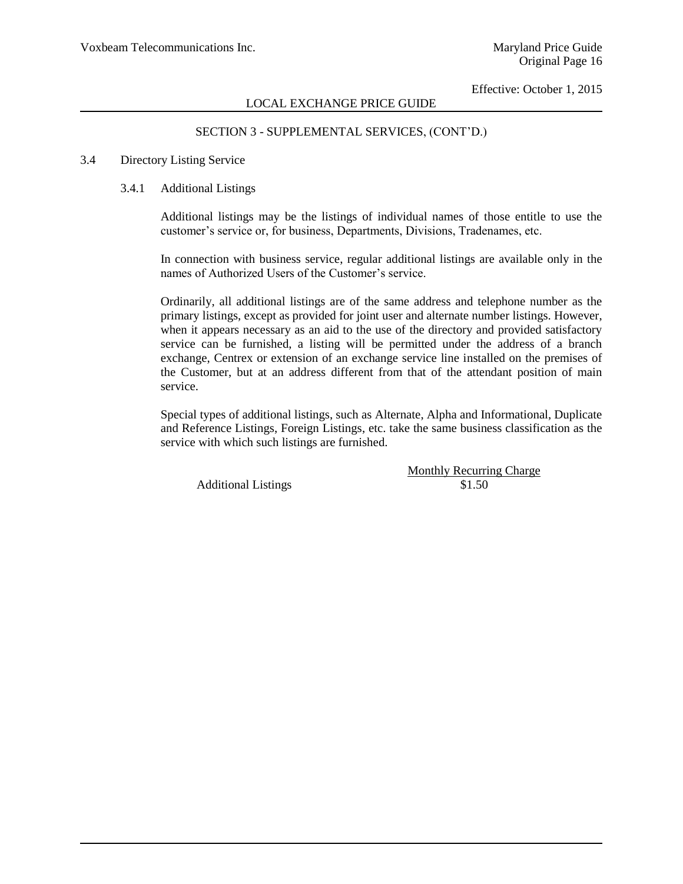### SECTION 3 - SUPPLEMENTAL SERVICES, (CONT'D.)

### 3.4 Directory Listing Service

### 3.4.1 Additional Listings

Additional listings may be the listings of individual names of those entitle to use the customer's service or, for business, Departments, Divisions, Tradenames, etc.

In connection with business service, regular additional listings are available only in the names of Authorized Users of the Customer's service.

Ordinarily, all additional listings are of the same address and telephone number as the primary listings, except as provided for joint user and alternate number listings. However, when it appears necessary as an aid to the use of the directory and provided satisfactory service can be furnished, a listing will be permitted under the address of a branch exchange, Centrex or extension of an exchange service line installed on the premises of the Customer, but at an address different from that of the attendant position of main service.

Special types of additional listings, such as Alternate, Alpha and Informational, Duplicate and Reference Listings, Foreign Listings, etc. take the same business classification as the service with which such listings are furnished.

Additional Listings  $$1.50$ 

Monthly Recurring Charge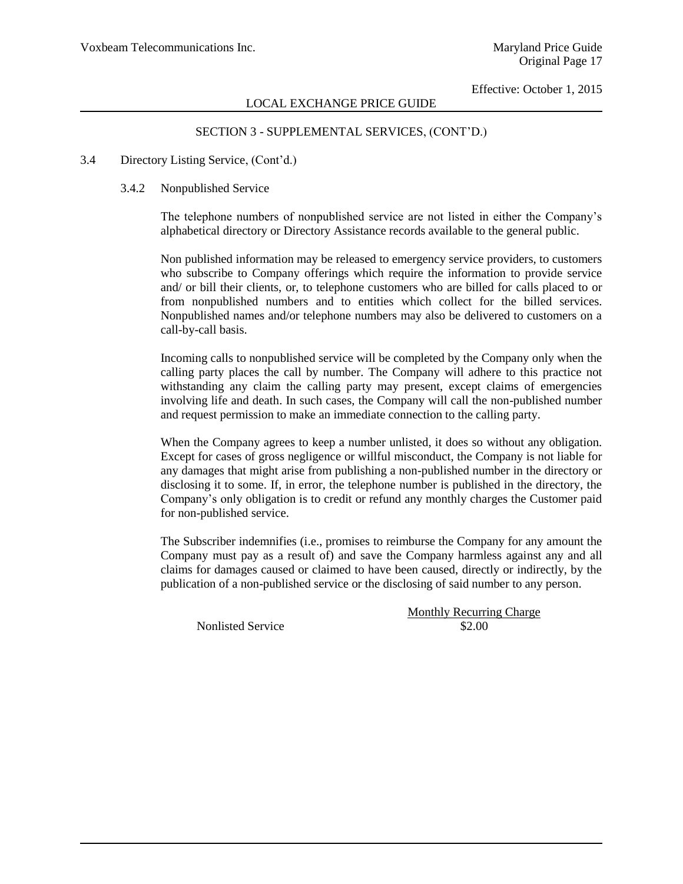### SECTION 3 - SUPPLEMENTAL SERVICES, (CONT'D.)

### 3.4 Directory Listing Service, (Cont'd.)

### 3.4.2 Nonpublished Service

The telephone numbers of nonpublished service are not listed in either the Company's alphabetical directory or Directory Assistance records available to the general public.

Non published information may be released to emergency service providers, to customers who subscribe to Company offerings which require the information to provide service and/ or bill their clients, or, to telephone customers who are billed for calls placed to or from nonpublished numbers and to entities which collect for the billed services. Nonpublished names and/or telephone numbers may also be delivered to customers on a call-by-call basis.

Incoming calls to nonpublished service will be completed by the Company only when the calling party places the call by number. The Company will adhere to this practice not withstanding any claim the calling party may present, except claims of emergencies involving life and death. In such cases, the Company will call the non-published number and request permission to make an immediate connection to the calling party.

When the Company agrees to keep a number unlisted, it does so without any obligation. Except for cases of gross negligence or willful misconduct, the Company is not liable for any damages that might arise from publishing a non-published number in the directory or disclosing it to some. If, in error, the telephone number is published in the directory, the Company's only obligation is to credit or refund any monthly charges the Customer paid for non-published service.

The Subscriber indemnifies (i.e., promises to reimburse the Company for any amount the Company must pay as a result of) and save the Company harmless against any and all claims for damages caused or claimed to have been caused, directly or indirectly, by the publication of a non-published service or the disclosing of said number to any person.

Nonlisted Service \$2.00

Monthly Recurring Charge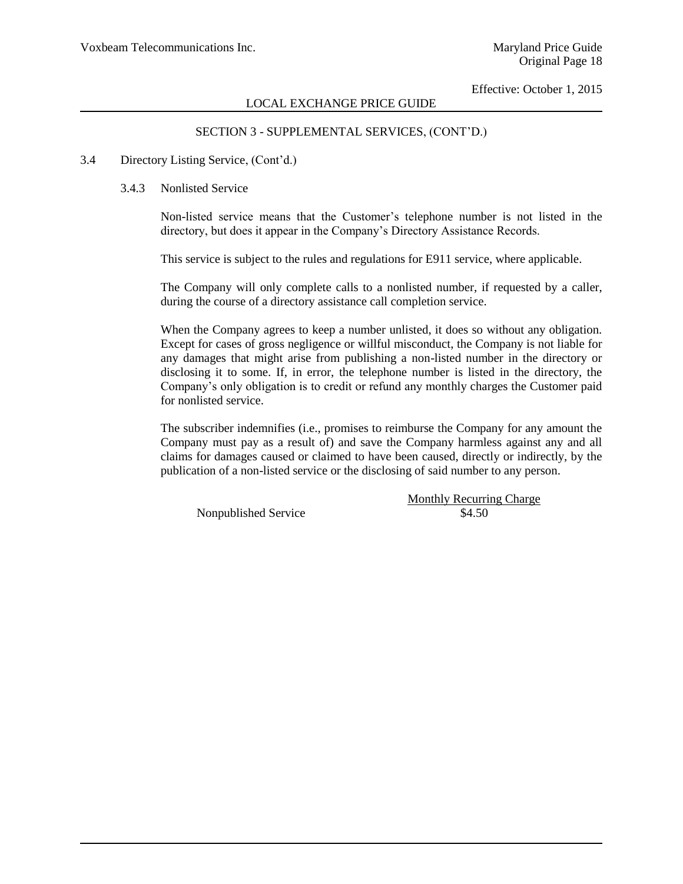### SECTION 3 - SUPPLEMENTAL SERVICES, (CONT'D.)

### 3.4 Directory Listing Service, (Cont'd.)

#### 3.4.3 Nonlisted Service

Non-listed service means that the Customer's telephone number is not listed in the directory, but does it appear in the Company's Directory Assistance Records.

This service is subject to the rules and regulations for E911 service, where applicable.

The Company will only complete calls to a nonlisted number, if requested by a caller, during the course of a directory assistance call completion service.

When the Company agrees to keep a number unlisted, it does so without any obligation. Except for cases of gross negligence or willful misconduct, the Company is not liable for any damages that might arise from publishing a non-listed number in the directory or disclosing it to some. If, in error, the telephone number is listed in the directory, the Company's only obligation is to credit or refund any monthly charges the Customer paid for nonlisted service.

The subscriber indemnifies (i.e., promises to reimburse the Company for any amount the Company must pay as a result of) and save the Company harmless against any and all claims for damages caused or claimed to have been caused, directly or indirectly, by the publication of a non-listed service or the disclosing of said number to any person.

Nonpublished Service \$4.50

Monthly Recurring Charge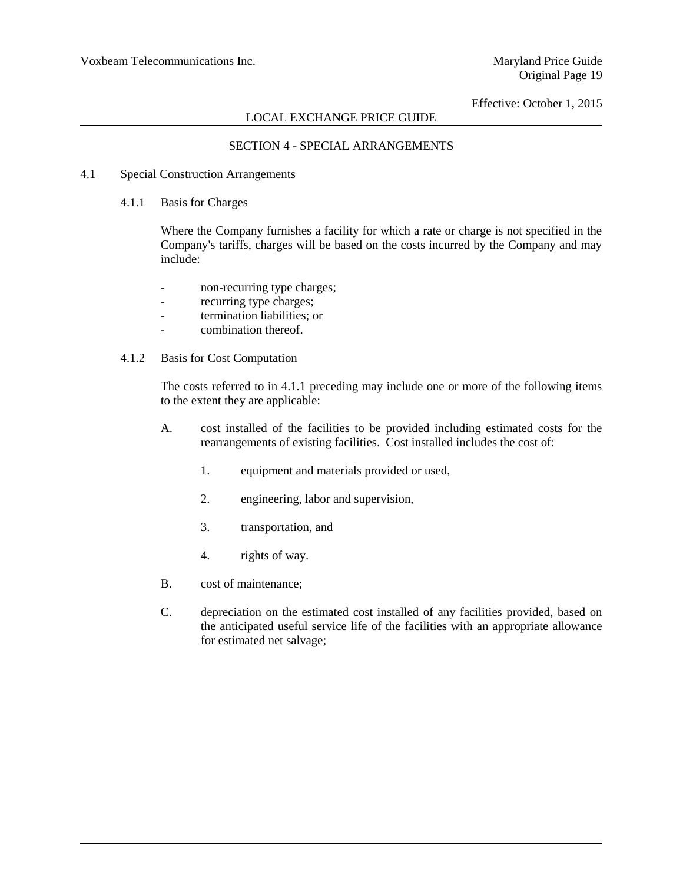# LOCAL EXCHANGE PRICE GUIDE

### SECTION 4 - SPECIAL ARRANGEMENTS

- 4.1 Special Construction Arrangements
	- 4.1.1 Basis for Charges

Where the Company furnishes a facility for which a rate or charge is not specified in the Company's tariffs, charges will be based on the costs incurred by the Company and may include:

- non-recurring type charges;
- recurring type charges;
- termination liabilities; or
- combination thereof.
- 4.1.2 Basis for Cost Computation

The costs referred to in 4.1.1 preceding may include one or more of the following items to the extent they are applicable:

- A. cost installed of the facilities to be provided including estimated costs for the rearrangements of existing facilities. Cost installed includes the cost of:
	- 1. equipment and materials provided or used,
	- 2. engineering, labor and supervision,
	- 3. transportation, and
	- 4. rights of way.
- B. cost of maintenance;
- C. depreciation on the estimated cost installed of any facilities provided, based on the anticipated useful service life of the facilities with an appropriate allowance for estimated net salvage;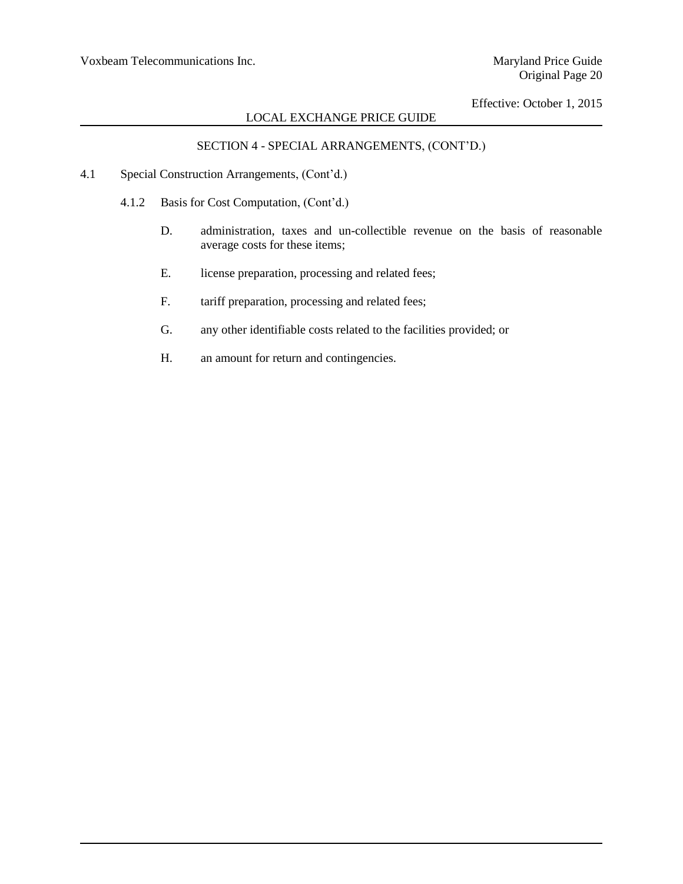# LOCAL EXCHANGE PRICE GUIDE

# SECTION 4 - SPECIAL ARRANGEMENTS, (CONT'D.)

- 4.1 Special Construction Arrangements, (Cont'd.)
	- 4.1.2 Basis for Cost Computation, (Cont'd.)
		- D. administration, taxes and un-collectible revenue on the basis of reasonable average costs for these items;
		- E. license preparation, processing and related fees;
		- F. tariff preparation, processing and related fees;
		- G. any other identifiable costs related to the facilities provided; or
		- H. an amount for return and contingencies.